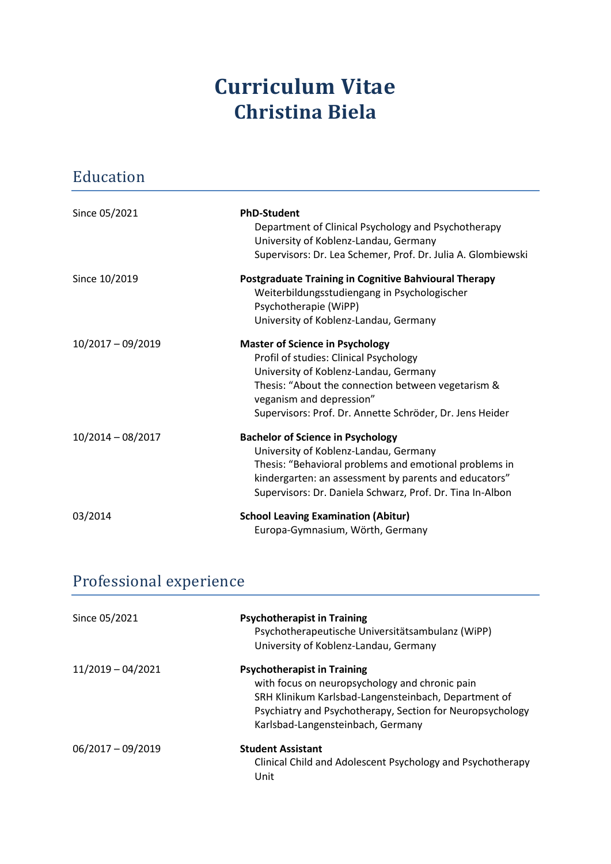## **Curriculum Vitae Christina Biela**

| Education           |                                                                                                                                                                                                                                                                         |
|---------------------|-------------------------------------------------------------------------------------------------------------------------------------------------------------------------------------------------------------------------------------------------------------------------|
| Since 05/2021       | <b>PhD-Student</b><br>Department of Clinical Psychology and Psychotherapy<br>University of Koblenz-Landau, Germany<br>Supervisors: Dr. Lea Schemer, Prof. Dr. Julia A. Glombiewski                                                                                      |
| Since 10/2019       | <b>Postgraduate Training in Cognitive Bahvioural Therapy</b><br>Weiterbildungsstudiengang in Psychologischer<br>Psychotherapie (WiPP)<br>University of Koblenz-Landau, Germany                                                                                          |
| 10/2017 - 09/2019   | <b>Master of Science in Psychology</b><br>Profil of studies: Clinical Psychology<br>University of Koblenz-Landau, Germany<br>Thesis: "About the connection between vegetarism &<br>veganism and depression"<br>Supervisors: Prof. Dr. Annette Schröder, Dr. Jens Heider |
| $10/2014 - 08/2017$ | <b>Bachelor of Science in Psychology</b><br>University of Koblenz-Landau, Germany<br>Thesis: "Behavioral problems and emotional problems in<br>kindergarten: an assessment by parents and educators"<br>Supervisors: Dr. Daniela Schwarz, Prof. Dr. Tina In-Albon       |
| 03/2014             | <b>School Leaving Examination (Abitur)</b><br>Europa-Gymnasium, Wörth, Germany                                                                                                                                                                                          |

## Professional experience

| Since 05/2021       | <b>Psychotherapist in Training</b><br>Psychotherapeutische Universitätsambulanz (WiPP)<br>University of Koblenz-Landau, Germany                                                                                                                |
|---------------------|------------------------------------------------------------------------------------------------------------------------------------------------------------------------------------------------------------------------------------------------|
| $11/2019 - 04/2021$ | <b>Psychotherapist in Training</b><br>with focus on neuropsychology and chronic pain<br>SRH Klinikum Karlsbad-Langensteinbach, Department of<br>Psychiatry and Psychotherapy, Section for Neuropsychology<br>Karlsbad-Langensteinbach, Germany |
| $06/2017 - 09/2019$ | <b>Student Assistant</b><br>Clinical Child and Adolescent Psychology and Psychotherapy<br>Unit                                                                                                                                                 |